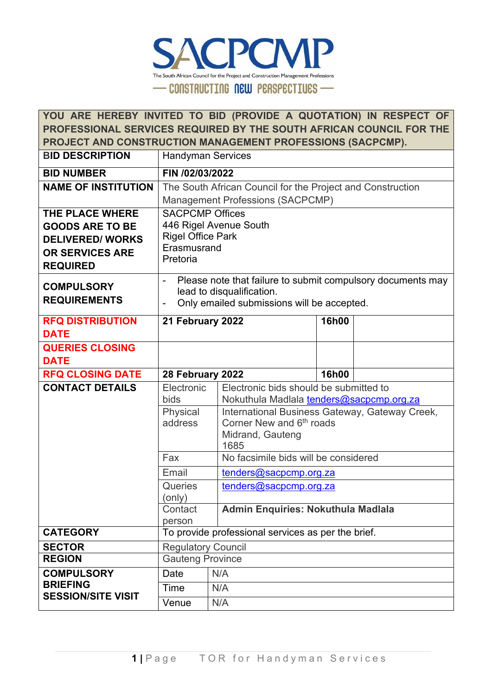

|                            | YOU ARE HEREBY INVITED TO BID (PROVIDE A QUOTATION) IN RESPECT OF          |                                                                                        |              |  |  |
|----------------------------|----------------------------------------------------------------------------|----------------------------------------------------------------------------------------|--------------|--|--|
|                            | PROFESSIONAL SERVICES REQUIRED BY THE SOUTH AFRICAN COUNCIL FOR THE        |                                                                                        |              |  |  |
|                            |                                                                            | PROJECT AND CONSTRUCTION MANAGEMENT PROFESSIONS (SACPCMP).                             |              |  |  |
| <b>BID DESCRIPTION</b>     | <b>Handyman Services</b>                                                   |                                                                                        |              |  |  |
| <b>BID NUMBER</b>          | FIN /02/03/2022                                                            |                                                                                        |              |  |  |
| <b>NAME OF INSTITUTION</b> |                                                                            | The South African Council for the Project and Construction                             |              |  |  |
|                            |                                                                            | <b>Management Professions (SACPCMP)</b>                                                |              |  |  |
| THE PLACE WHERE            | <b>SACPCMP Offices</b>                                                     |                                                                                        |              |  |  |
| <b>GOODS ARE TO BE</b>     |                                                                            | 446 Rigel Avenue South                                                                 |              |  |  |
| <b>DELIVERED/WORKS</b>     | <b>Rigel Office Park</b><br>Erasmusrand                                    |                                                                                        |              |  |  |
| <b>OR SERVICES ARE</b>     | Pretoria                                                                   |                                                                                        |              |  |  |
| <b>REQUIRED</b>            |                                                                            |                                                                                        |              |  |  |
| <b>COMPULSORY</b>          |                                                                            | Please note that failure to submit compulsory documents may                            |              |  |  |
| <b>REQUIREMENTS</b>        | lead to disqualification.                                                  |                                                                                        |              |  |  |
|                            | Only emailed submissions will be accepted.<br>$\qquad \qquad \blacksquare$ |                                                                                        |              |  |  |
| <b>RFQ DISTRIBUTION</b>    | <b>16h00</b><br>21 February 2022                                           |                                                                                        |              |  |  |
| <b>DATE</b>                |                                                                            |                                                                                        |              |  |  |
| <b>QUERIES CLOSING</b>     |                                                                            |                                                                                        |              |  |  |
| <b>DATE</b>                |                                                                            |                                                                                        |              |  |  |
| <b>RFQ CLOSING DATE</b>    | 28 February 2022                                                           |                                                                                        | <b>16h00</b> |  |  |
| <b>CONTACT DETAILS</b>     | Electronic                                                                 | Electronic bids should be submitted to                                                 |              |  |  |
|                            | bids                                                                       | Nokuthula Madlala tenders@sacpcmp.org.za                                               |              |  |  |
|                            | Physical<br>address                                                        | International Business Gateway, Gateway Creek,<br>Corner New and 6 <sup>th</sup> roads |              |  |  |
|                            |                                                                            | Midrand, Gauteng                                                                       |              |  |  |
|                            |                                                                            | 1685                                                                                   |              |  |  |
|                            | Fax                                                                        | No facsimile bids will be considered                                                   |              |  |  |
|                            | Email                                                                      | tenders@sacpcmp.org.za                                                                 |              |  |  |
|                            | <b>Queries</b>                                                             | tenders@sacpcmp.org.za                                                                 |              |  |  |
|                            | (only)                                                                     |                                                                                        |              |  |  |
|                            | Contact                                                                    | <b>Admin Enquiries: Nokuthula Madlala</b>                                              |              |  |  |
| <b>CATEGORY</b>            | person                                                                     | To provide professional services as per the brief.                                     |              |  |  |
| <b>SECTOR</b>              |                                                                            |                                                                                        |              |  |  |
| <b>REGION</b>              | <b>Regulatory Council</b><br><b>Gauteng Province</b>                       |                                                                                        |              |  |  |
| <b>COMPULSORY</b>          | Date<br>N/A                                                                |                                                                                        |              |  |  |
| <b>BRIEFING</b>            |                                                                            |                                                                                        |              |  |  |
|                            | N/A<br>Time                                                                |                                                                                        |              |  |  |
| <b>SESSION/SITE VISIT</b>  | Venue                                                                      | N/A                                                                                    |              |  |  |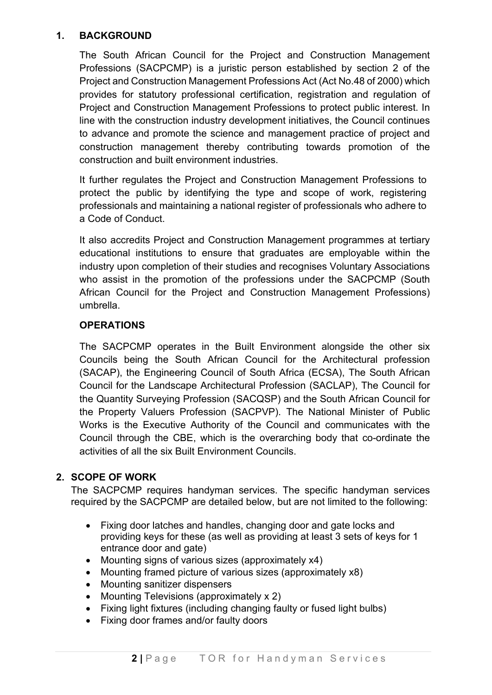### **1. BACKGROUND**

The South African Council for the Project and Construction Management Professions (SACPCMP) is a juristic person established by section 2 of the Project and Construction Management Professions Act (Act No.48 of 2000) which provides for statutory professional certification, registration and regulation of Project and Construction Management Professions to protect public interest. In line with the construction industry development initiatives, the Council continues to advance and promote the science and management practice of project and construction management thereby contributing towards promotion of the construction and built environment industries.

It further regulates the Project and Construction Management Professions to protect the public by identifying the type and scope of work, registering professionals and maintaining a national register of professionals who adhere to a Code of Conduct.

It also accredits Project and Construction Management programmes at tertiary educational institutions to ensure that graduates are employable within the industry upon completion of their studies and recognises Voluntary Associations who assist in the promotion of the professions under the SACPCMP (South African Council for the Project and Construction Management Professions) umbrella.

## **OPERATIONS**

The SACPCMP operates in the Built Environment alongside the other six Councils being the South African Council for the Architectural profession (SACAP), the Engineering Council of South Africa (ECSA), The South African Council for the Landscape Architectural Profession (SACLAP), The Council for the Quantity Surveying Profession (SACQSP) and the South African Council for the Property Valuers Profession (SACPVP). The National Minister of Public Works is the Executive Authority of the Council and communicates with the Council through the CBE, which is the overarching body that co-ordinate the activities of all the six Built Environment Councils.

## **2. SCOPE OF WORK**

The SACPCMP requires handyman services. The specific handyman services required by the SACPCMP are detailed below, but are not limited to the following:

- Fixing door latches and handles, changing door and gate locks and providing keys for these (as well as providing at least 3 sets of keys for 1 entrance door and gate)
- Mounting signs of various sizes (approximately x4)
- Mounting framed picture of various sizes (approximately x8)
- Mounting sanitizer dispensers
- Mounting Televisions (approximately x 2)
- Fixing light fixtures (including changing faulty or fused light bulbs)
- Fixing door frames and/or faulty doors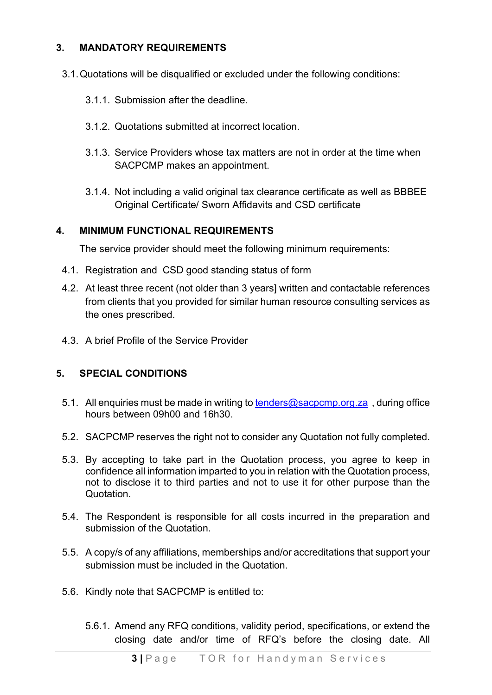## **3. MANDATORY REQUIREMENTS**

- 3.1.Quotations will be disqualified or excluded under the following conditions:
	- 3.1.1. Submission after the deadline.
	- 3.1.2. Quotations submitted at incorrect location.
	- 3.1.3. Service Providers whose tax matters are not in order at the time when SACPCMP makes an appointment.
	- 3.1.4. Not including a valid original tax clearance certificate as well as BBBEE Original Certificate/ Sworn Affidavits and CSD certificate

## **4. MINIMUM FUNCTIONAL REQUIREMENTS**

The service provider should meet the following minimum requirements:

- 4.1. Registration and CSD good standing status of form
- 4.2. At least three recent (not older than 3 years] written and contactable references from clients that you provided for similar human resource consulting services as the ones prescribed.
- 4.3. A brief Profile of the Service Provider

## **5. SPECIAL CONDITIONS**

- 5.1. All enquiries must be made in writing to [tenders@sacpcmp.org.za](mailto:tenders@sacpcmp.org.za), during office hours between 09h00 and 16h30.
- 5.2. SACPCMP reserves the right not to consider any Quotation not fully completed.
- 5.3. By accepting to take part in the Quotation process, you agree to keep in confidence all information imparted to you in relation with the Quotation process, not to disclose it to third parties and not to use it for other purpose than the **Quotation**
- 5.4. The Respondent is responsible for all costs incurred in the preparation and submission of the Quotation.
- 5.5. A copy/s of any affiliations, memberships and/or accreditations that support your submission must be included in the Quotation.
- 5.6. Kindly note that SACPCMP is entitled to:
	- 5.6.1. Amend any RFQ conditions, validity period, specifications, or extend the closing date and/or time of RFQ's before the closing date. All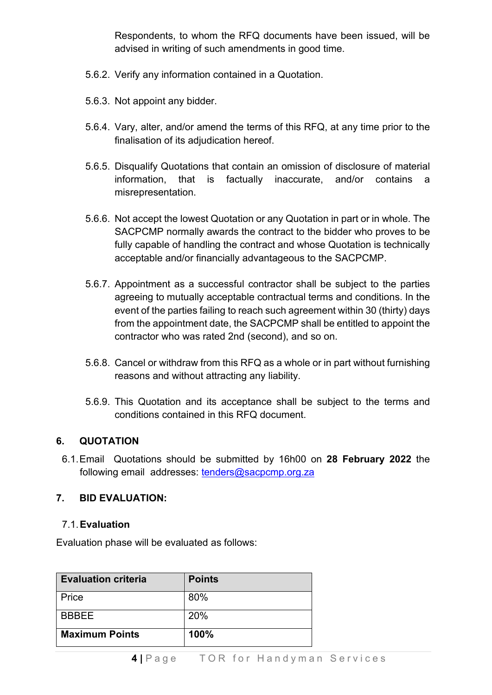Respondents, to whom the RFQ documents have been issued, will be advised in writing of such amendments in good time.

- 5.6.2. Verify any information contained in a Quotation.
- 5.6.3. Not appoint any bidder.
- 5.6.4. Vary, alter, and/or amend the terms of this RFQ, at any time prior to the finalisation of its adjudication hereof.
- 5.6.5. Disqualify Quotations that contain an omission of disclosure of material information, that is factually inaccurate, and/or contains a misrepresentation.
- 5.6.6. Not accept the lowest Quotation or any Quotation in part or in whole. The SACPCMP normally awards the contract to the bidder who proves to be fully capable of handling the contract and whose Quotation is technically acceptable and/or financially advantageous to the SACPCMP.
- 5.6.7. Appointment as a successful contractor shall be subject to the parties agreeing to mutually acceptable contractual terms and conditions. In the event of the parties failing to reach such agreement within 30 (thirty) days from the appointment date, the SACPCMP shall be entitled to appoint the contractor who was rated 2nd (second), and so on.
- 5.6.8. Cancel or withdraw from this RFQ as a whole or in part without furnishing reasons and without attracting any liability.
- 5.6.9. This Quotation and its acceptance shall be subject to the terms and conditions contained in this RFQ document.

## **6. QUOTATION**

6.1.Email Quotations should be submitted by 16h00 on **28 February 2022** the following email addresses: [tenders@sacpcmp.org.za](mailto:tenders@sacpcmp.org.za)

## **7. BID EVALUATION:**

## 7.1.**Evaluation**

Evaluation phase will be evaluated as follows:

| <b>Evaluation criteria</b> | <b>Points</b> |
|----------------------------|---------------|
| Price                      | 80%           |
| <b>BBBEE</b>               | 20%           |
| <b>Maximum Points</b>      | 100%          |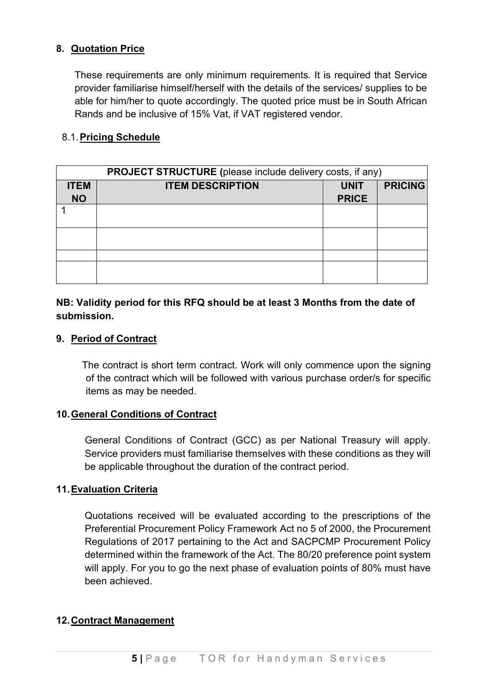## **8. Quotation Price**

These requirements are only minimum requirements. It is required that Service provider familiarise himself/herself with the details of the services/ supplies to be able for him/her to quote accordingly. The quoted price must be in South African Rands and be inclusive of 15% Vat, if VAT registered vendor.

### 8.1.**Pricing Schedule**

| PROJECT STRUCTURE (please include delivery costs, if any) |                         |              |                |  |  |
|-----------------------------------------------------------|-------------------------|--------------|----------------|--|--|
| <b>ITEM</b>                                               | <b>ITEM DESCRIPTION</b> | <b>UNIT</b>  | <b>PRICING</b> |  |  |
| <b>NO</b>                                                 |                         | <b>PRICE</b> |                |  |  |
|                                                           |                         |              |                |  |  |
|                                                           |                         |              |                |  |  |
|                                                           |                         |              |                |  |  |
|                                                           |                         |              |                |  |  |
|                                                           |                         |              |                |  |  |
|                                                           |                         |              |                |  |  |
|                                                           |                         |              |                |  |  |

## **NB: Validity period for this RFQ should be at least 3 Months from the date of submission.**

#### **9. Period of Contract**

The contract is short term contract. Work will only commence upon the signing of the contract which will be followed with various purchase order/s for specific items as may be needed.

#### **10.General Conditions of Contract**

General Conditions of Contract (GCC) as per National Treasury will apply. Service providers must familiarise themselves with these conditions as they will be applicable throughout the duration of the contract period.

#### **11.Evaluation Criteria**

Quotations received will be evaluated according to the prescriptions of the Preferential Procurement Policy Framework Act no 5 of 2000, the Procurement Regulations of 2017 pertaining to the Act and SACPCMP Procurement Policy determined within the framework of the Act. The 80/20 preference point system will apply. For you to go the next phase of evaluation points of 80% must have been achieved.

#### **12.Contract Management**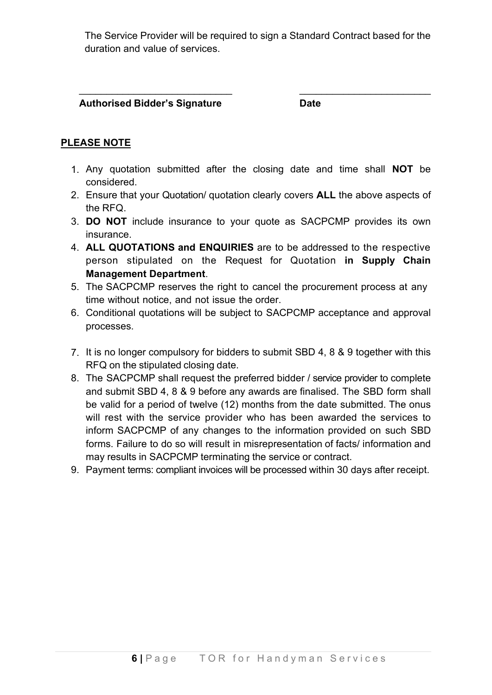The Service Provider will be required to sign a Standard Contract based for the duration and value of services.

 $\overline{\phantom{a}}$  , and the contract of the contract of the contract of the contract of the contract of the contract of the contract of the contract of the contract of the contract of the contract of the contract of the contrac

 **Authorised Bidder's Signature Date**

# **PLEASE NOTE**

- 1. Any quotation submitted after the closing date and time shall **NOT** be considered.
- 2. Ensure that your Quotation/ quotation clearly covers **ALL** the above aspects of the RFQ.
- 3. **DO NOT** include insurance to your quote as SACPCMP provides its own insurance.
- 4. **ALL QUOTATIONS and ENQUIRIES** are to be addressed to the respective person stipulated on the Request for Quotation **in Supply Chain Management Department**.
- 5. The SACPCMP reserves the right to cancel the procurement process at any time without notice, and not issue the order.
- 6. Conditional quotations will be subject to SACPCMP acceptance and approval processes.
- 7. It is no longer compulsory for bidders to submit SBD 4, 8 & 9 together with this RFQ on the stipulated closing date.
- 8. The SACPCMP shall request the preferred bidder / service provider to complete and submit SBD 4, 8 & 9 before any awards are finalised. The SBD form shall be valid for a period of twelve (12) months from the date submitted. The onus will rest with the service provider who has been awarded the services to inform SACPCMP of any changes to the information provided on such SBD forms. Failure to do so will result in misrepresentation of facts/ information and may results in SACPCMP terminating the service or contract.
- 9. Payment terms: compliant invoices will be processed within 30 days after receipt.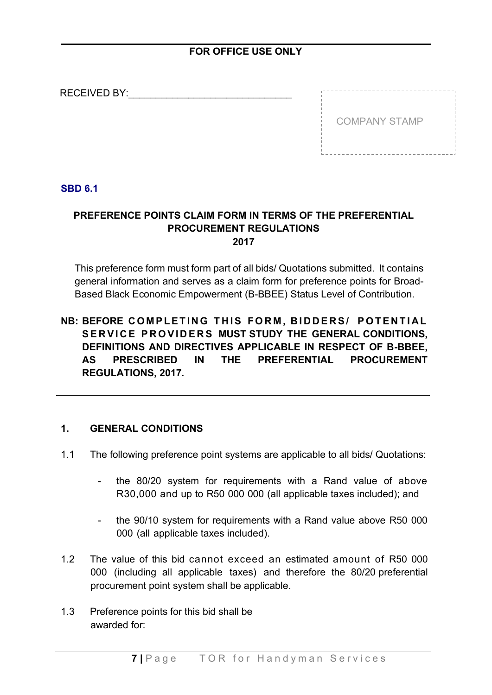## **FOR OFFICE USE ONLY**

| <b>RECEIVED BY:</b> |                      |
|---------------------|----------------------|
|                     | <b>COMPANY STAMP</b> |
|                     |                      |
|                     |                      |

### **SBD 6.1**

## **PREFERENCE POINTS CLAIM FORM IN TERMS OF THE PREFERENTIAL PROCUREMENT REGULATIONS 2017**

This preference form must form part of all bids/ Quotations submitted. It contains general information and serves as a claim form for preference points for Broad-Based Black Economic Empowerment (B-BBEE) Status Level of Contribution.

## **NB: BEFORE COMPLETING THIS FORM , BIDDERS/ POTENTIAL SERVICE PROVIDERS MUST STUDY THE GENERAL CONDITIONS, DEFINITIONS AND DIRECTIVES APPLICABLE IN RESPECT OF B-BBEE, AS PRESCRIBED IN THE PREFERENTIAL PROCUREMENT REGULATIONS, 2017.**

#### **1. GENERAL CONDITIONS**

- 1.1 The following preference point systems are applicable to all bids/ Quotations:
	- the 80/20 system for requirements with a Rand value of above R30,000 and up to R50 000 000 (all applicable taxes included); and
	- the 90/10 system for requirements with a Rand value above R50 000 000 (all applicable taxes included).
- 1.2 The value of this bid cannot exceed an estimated amount of R50 000 000 (including all applicable taxes) and therefore the 80/20 preferential procurement point system shall be applicable.
- 1.3 Preference points for this bid shall be awarded for: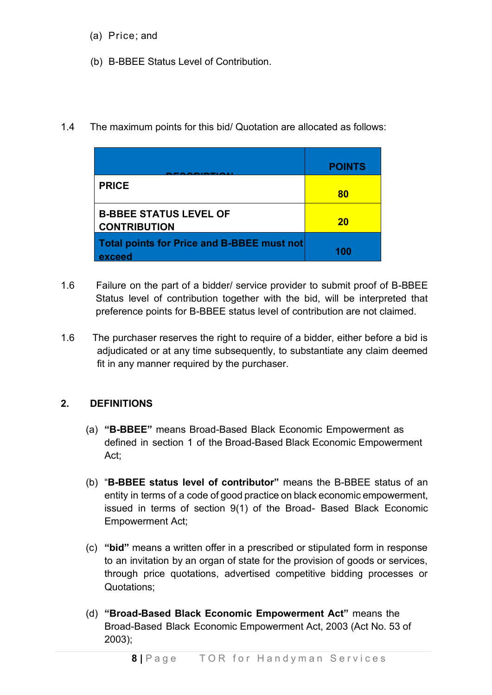- (a) Price; and
- (b) B-BBEE Status Level of Contribution.
- 1.4 The maximum points for this bid/ Quotation are allocated as follows:

|                                                      | <b>POINTS</b> |
|------------------------------------------------------|---------------|
| <b>PRICE</b>                                         | 80            |
| <b>B-BBEE STATUS LEVEL OF</b><br><b>CONTRIBUTION</b> | <b>20</b>     |
| Total points for Price and B-BBEE must not<br>exceed | 100           |

- 1.6 Failure on the part of a bidder/ service provider to submit proof of B-BBEE Status level of contribution together with the bid, will be interpreted that preference points for B-BBEE status level of contribution are not claimed.
- 1.6 The purchaser reserves the right to require of a bidder, either before a bid is adjudicated or at any time subsequently, to substantiate any claim deemed fit in any manner required by the purchaser.

## **2. DEFINITIONS**

- (a) **"B-BBEE"** means Broad-Based Black Economic Empowerment as defined in section 1 of the Broad-Based Black Economic Empowerment Act;
- (b) "**B-BBEE status level of contributor"** means the B-BBEE status of an entity in terms of a code of good practice on black economic empowerment, issued in terms of section 9(1) of the Broad- Based Black Economic Empowerment Act;
- (c) **"bid"** means a written offer in a prescribed or stipulated form in response to an invitation by an organ of state for the provision of goods or services, through price quotations, advertised competitive bidding processes or Quotations;
- (d) **"Broad-Based Black Economic Empowerment Act"** means the Broad-Based Black Economic Empowerment Act, 2003 (Act No. 53 of 2003);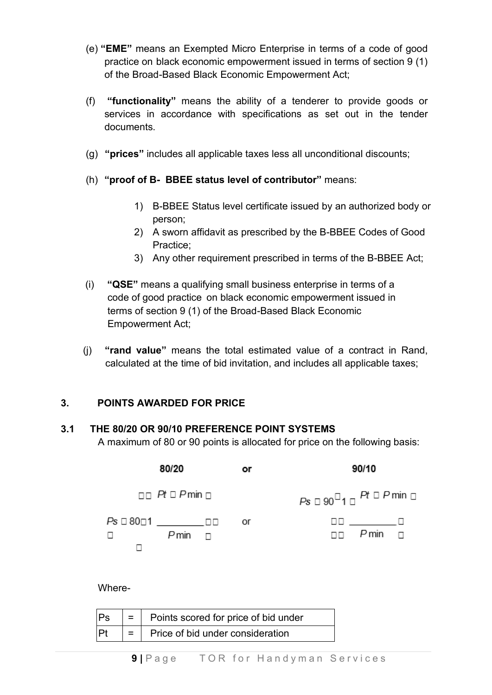- (e) **"EME"** means an Exempted Micro Enterprise in terms of a code of good practice on black economic empowerment issued in terms of section 9 (1) of the Broad-Based Black Economic Empowerment Act;
- (f) **"functionality"** means the ability of a tenderer to provide goods or services in accordance with specifications as set out in the tender documents.
- (g) **"prices"** includes all applicable taxes less all unconditional discounts;
- (h) **"proof of B- BBEE status level of contributor"** means:
	- 1) B-BBEE Status level certificate issued by an authorized body or person;
	- 2) A sworn affidavit as prescribed by the B-BBEE Codes of Good Practice;
	- 3) Any other requirement prescribed in terms of the B-BBEE Act;
- (i) **"QSE"** means a qualifying small business enterprise in terms of a code of good practice on black economic empowerment issued in terms of section 9 (1) of the Broad-Based Black Economic Empowerment Act;
- (j) **"rand value"** means the total estimated value of a contract in Rand, calculated at the time of bid invitation, and includes all applicable taxes;

## **3. POINTS AWARDED FOR PRICE**

## **3.1 THE 80/20 OR 90/10 PREFERENCE POINT SYSTEMS**

A maximum of 80 or 90 points is allocated for price on the following basis:

| 80/20                                     | or | 90/10                                            |
|-------------------------------------------|----|--------------------------------------------------|
| $\Box$ Pt $\Box$ Pmin $\Box$              |    | $Ps \Box 90^{\Box}1 \Box$ Pt $\Box$ P min $\Box$ |
| Ps □ 80□1 ______□□<br>$P$ min $\Box$<br>□ | or | $\Box$ $P$ min $\Box$                            |

Where-

| Ps | $=$   Points scored for price of bid under |  |
|----|--------------------------------------------|--|
| Pt | $=$   Price of bid under consideration     |  |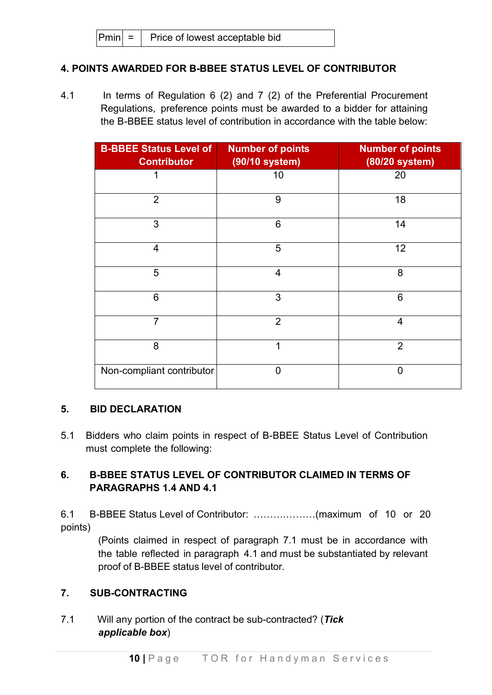## **4. POINTS AWARDED FOR B-BBEE STATUS LEVEL OF CONTRIBUTOR**

4.1 In terms of Regulation 6 (2) and 7 (2) of the Preferential Procurement Regulations, preference points must be awarded to a bidder for attaining the B-BBEE status level of contribution in accordance with the table below:

| <b>B-BBEE Status Level of</b><br><b>Contributor</b> | <b>Number of points</b><br>(90/10 system) | <b>Number of points</b><br>(80/20 system) |
|-----------------------------------------------------|-------------------------------------------|-------------------------------------------|
| 1                                                   | 10                                        | 20                                        |
| $\overline{2}$                                      | 9                                         | 18                                        |
| 3                                                   | 6                                         | 14                                        |
| $\overline{4}$                                      | 5                                         | 12                                        |
| 5                                                   | $\overline{4}$                            | 8                                         |
| 6                                                   | 3                                         | 6                                         |
| $\overline{7}$                                      | $\overline{2}$                            | $\overline{4}$                            |
| 8                                                   | 1                                         | $\overline{2}$                            |
| Non-compliant contributor                           | $\Omega$                                  | $\overline{0}$                            |

## **5. BID DECLARATION**

5.1 Bidders who claim points in respect of B-BBEE Status Level of Contribution must complete the following:

## **6. B-BBEE STATUS LEVEL OF CONTRIBUTOR CLAIMED IN TERMS OF PARAGRAPHS 1.4 AND 4.1**

6.1 B-BBEE Status Level of Contributor: ……….………(maximum of 10 or 20 points)

> (Points claimed in respect of paragraph 7.1 must be in accordance with the table reflected in paragraph 4.1 and must be substantiated by relevant proof of B-BBEE status level of contributor.

## **7. SUB-CONTRACTING**

7.1 Will any portion of the contract be sub-contracted? (*Tick applicable box*)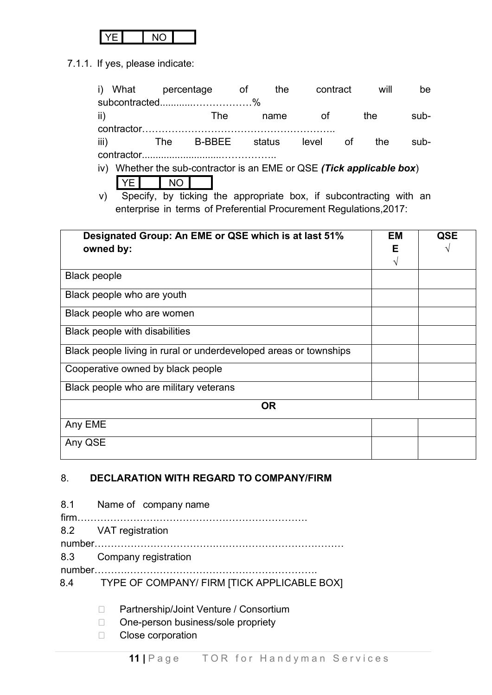7.1.1. If yes, please indicate:

|                     | i) What percentage of<br>subcontracted%                                                     |                  |            |                                                                                                                                                                 | contract<br>the |           | will                        | be   |                 |
|---------------------|---------------------------------------------------------------------------------------------|------------------|------------|-----------------------------------------------------------------------------------------------------------------------------------------------------------------|-----------------|-----------|-----------------------------|------|-----------------|
|                     | ii)                                                                                         |                  | <b>The</b> | name                                                                                                                                                            | of              |           | the                         | sub- |                 |
|                     | iii)<br>iv) Whether the sub-contractor is an EME or QSE (Tick applicable box)<br>I YE<br>V) | The<br><b>NO</b> |            | B-BBEE status level<br>Specify, by ticking the appropriate box, if subcontracting with an<br>enterprise in terms of Preferential Procurement Regulations, 2017: |                 | <b>of</b> | the                         | sub- |                 |
|                     | Designated Group: An EME or QSE which is at last 51%<br>owned by:                           |                  |            |                                                                                                                                                                 |                 |           | <b>EM</b><br>Е<br>$\sqrt{}$ |      | <b>QSE</b><br>V |
| <b>Black people</b> |                                                                                             |                  |            |                                                                                                                                                                 |                 |           |                             |      |                 |
|                     | Black people who are youth                                                                  |                  |            |                                                                                                                                                                 |                 |           |                             |      |                 |
|                     | Black people who are women                                                                  |                  |            |                                                                                                                                                                 |                 |           |                             |      |                 |
|                     | <b>Black people with disabilities</b>                                                       |                  |            |                                                                                                                                                                 |                 |           |                             |      |                 |
|                     | Black people living in rural or underdeveloped areas or townships                           |                  |            |                                                                                                                                                                 |                 |           |                             |      |                 |
|                     | Cooperative owned by black people                                                           |                  |            |                                                                                                                                                                 |                 |           |                             |      |                 |
|                     | Black people who are military veterans                                                      |                  |            |                                                                                                                                                                 |                 |           |                             |      |                 |
|                     |                                                                                             |                  |            | <b>OR</b>                                                                                                                                                       |                 |           |                             |      |                 |
| Any EME             |                                                                                             |                  |            |                                                                                                                                                                 |                 |           |                             |      |                 |
| Any QSE             |                                                                                             |                  |            |                                                                                                                                                                 |                 |           |                             |      |                 |

## 8. **DECLARATION WITH REGARD TO COMPANY/FIRM**

| 8.1 Name of company name                        |
|-------------------------------------------------|
| 8.2 VAT registration                            |
|                                                 |
| 8.3 Company registration                        |
| 8.4 TYPE OF COMPANY/ FIRM [TICK APPLICABLE BOX] |

- D Partnership/Joint Venture / Consortium
- □ One-person business/sole propriety
- □ Close corporation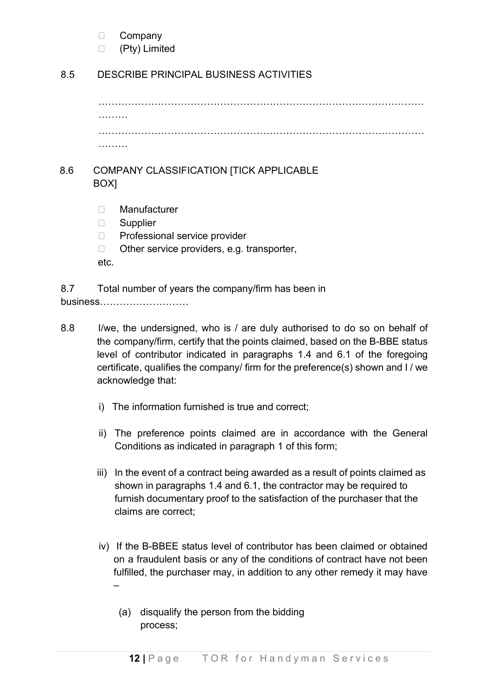□ Company

□ (Pty) Limited

## 8.5 DESCRIBE PRINCIPAL BUSINESS ACTIVITIES

……………………………………………………………………………………… ……… ……………………………………………………………………………………… ………

## 8.6 COMPANY CLASSIFICATION [TICK APPLICABLE BOX]

- Manufacturer
- □ Supplier
- □ Professional service provider
- $\Box$  Other service providers, e.g. transporter,
- etc.

8.7 Total number of years the company/firm has been in business………………………

- 8.8 I/we, the undersigned, who is / are duly authorised to do so on behalf of the company/firm, certify that the points claimed, based on the B-BBE status level of contributor indicated in paragraphs 1.4 and 6.1 of the foregoing certificate, qualifies the company/ firm for the preference(s) shown and I / we acknowledge that:
	- i) The information furnished is true and correct;
	- ii) The preference points claimed are in accordance with the General Conditions as indicated in paragraph 1 of this form;
	- iii) In the event of a contract being awarded as a result of points claimed as shown in paragraphs 1.4 and 6.1, the contractor may be required to furnish documentary proof to the satisfaction of the purchaser that the claims are correct;
	- iv) If the B-BBEE status level of contributor has been claimed or obtained on a fraudulent basis or any of the conditions of contract have not been fulfilled, the purchaser may, in addition to any other remedy it may have –
		- (a) disqualify the person from the bidding process;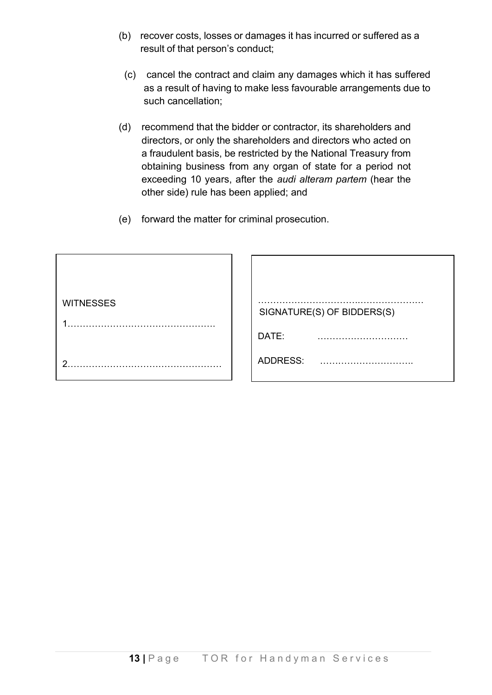- (b) recover costs, losses or damages it has incurred or suffered as a result of that person's conduct;
	- (c) cancel the contract and claim any damages which it has suffered as a result of having to make less favourable arrangements due to such cancellation;
- (d) recommend that the bidder or contractor, its shareholders and directors, or only the shareholders and directors who acted on a fraudulent basis, be restricted by the National Treasury from obtaining business from any organ of state for a period not exceeding 10 years, after the *audi alteram partem* (hear the other side) rule has been applied; and
- (e) forward the matter for criminal prosecution.

| <b>WITNESSES</b> | SIGNATURE(S) OF BIDDERS(S) |
|------------------|----------------------------|
|                  | DATE:                      |
| ◠                | ADDRESS:                   |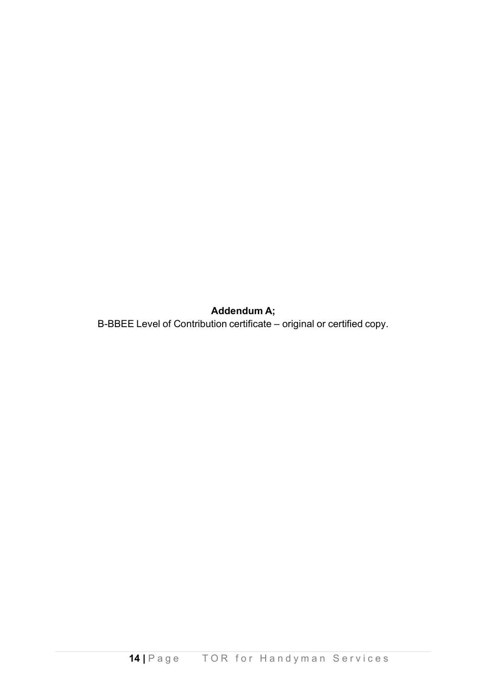**Addendum A;**

B-BBEE Level of Contribution certificate – original or certified copy.